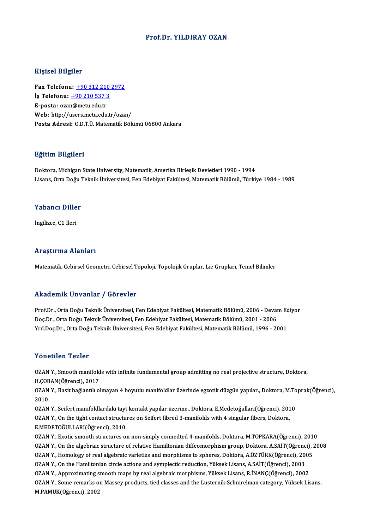## Prof.Dr. YILDIRAY OZAN

## Kişisel Bilgiler

Fax Telefonu: +90 312 210 2972 **Frax Telefonu:** <u>+90 312 210</u><br> **İş Telefonu:** <u>+90 312 210</u><br> **E** nosta: ezen@metuedu.tr Fax Telefonu: <u>+90 312 210</u><br>İş Telefonu: <u>+90 210 537 3</u><br>E-posta: oza[n@metu.edu.tr](tel:+90 210 537 3)<br>Web: http://users.metu.edu. E-posta: ozan@metu.edu.tr<br>Web: http://users.metu.edu.tr/ozan/ Posta Adresi: O.D.T.Ü. Matematik Bölümü 06800 Ankara

## Eğitim Bilgileri

Doktora, Michigan State University, Matematik, Amerika Birleşik Devletleri 1990 - 1994 Lisans, Orta Doğu Teknik Üniversitesi, Fen Edebiyat Fakültesi, Matematik Bölümü, Türkiye 1984 - 1989

## Yabancı Diller

İngilizce,C1 İleri

## Araştırma Alanları

Matematik, Cebirsel Geometri, Cebirsel Topoloji, Topolojik Gruplar, Lie Grupları, Temel Bilimler

## Akademik Unvanlar / Görevler

Prof.Dr., Orta Doğu Teknik Üniversitesi, Fen Edebiyat Fakültesi, Matematik Bölümü, 2006 - Devam Ediyor rındu olirin "Olivulmur" / "dör ovror"<br>Prof.Dr., Orta Doğu Teknik Üniversitesi, Fen Edebiyat Fakültesi, Matematik Bölümü, 2006 - Devai<br>Doç.Dr., Orta Doğu Teknik Üniversitesi, Fen Edebiyat Fakültesi, Matematik Bölümü, 2001 Prof.Dr., Orta Doğu Teknik Üniversitesi, Fen Edebiyat Fakültesi, Matematik Bölümü, 2006 - Devam Ec<br>Doç.Dr., Orta Doğu Teknik Üniversitesi, Fen Edebiyat Fakültesi, Matematik Bölümü, 2001 - 2006<br>Yrd.Doç.Dr., Orta Doğu Teknik Yrd.Doç.Dr., Orta Doğu Teknik Üniversitesi, Fen Edebiyat Fakültesi, Matematik Bölümü, 1996 - 2001<br>Yönetilen Tezler

Yönetilen Tezler<br>OZAN Y., Smooth manifolds with infinite fundamental group admitting no real projective structure, Doktora,<br>H.CORAN(Öğrensi), 2017 1 CHOMON 1 CHOT<br>OZAN Y., Smooth manifold<br>H.ÇOBAN(Öğrenci), 2017<br>OZAN Y., Basit bağlantılı ol H.COBAN(Öğrenci), 2017

OZAN Y., Basit bağlantılı olmayan 4 boyutlu manifoldlar üzerinde egzotik düzgün yapılar., Doktora, M.Toprak(Öğrenci),<br>2010 OZAN Y., Basit bağlantılı olmayan 4 boyutlu manifoldlar üzerinde egzotik düzgün yapılar., Doktora, M.To<br>2010<br>OZAN Y., Seifert manifoldlardaki tayt kontakt yapılar üzerine., Doktora, E.Medetoğulları(Öğrenci), 2010<br>OZAN Y. O

2010<br>OZAN Y., Seifert manifoldlardaki tayt kontakt yapılar üzerine., Doktora, E.Medetoğulları(Öğrenci), 201<br>OZAN Y., On the tight contact structures on Seifert fibred 3-manifolds with 4 singular fibers, Doktora,<br>E.MEDETOČU OZAN Y., Seifert manifoldlardaki tayt<br>OZAN Y., On the tight contact structu<br>E.MEDETOĞULLARI(Öğrenci), 2010<br>OZAN V., Evetis smooth structures ol OZAN Y., On the tight contact structures on Seifert fibred 3-manifolds with 4 singular fibers, Doktora,<br>E.MEDETOĞULLARI(Öğrenci), 2010<br>OZAN Y., Exotic smooth structures on non-simply connedted 4-manifolds, Doktora, M.TOPKA

E.MEDETOĞULLARI(Öğrenci), 2010<br>OZAN Y., Exotic smooth structures on non-simply connedted 4-manifolds, Doktora, M.TOPKARA(Öğrenci), 2010<br>OZAN Y., On the algebraic structure of relative Hamiltonian diffeomorphism group, Dokt OZAN Y., Exotic smooth structures on non-simply connedted 4-manifolds, Doktora, M.TOPKARA(Öğrenci), 201<br>OZAN Y., On the algebraic structure of relative Hamiltonian diffeomorphism group, Doktora, A.SAİT(Öğrenci), 2<br>OZAN Y., OZAN Y., On the algebraic structure of relative Hamiltonian diffeomorphism group, Doktora, A.SAİT(Öğrenci), 2008<br>OZAN Y., Homology of real algebraic varieties and morphisms to spheres, Doktora, A.ÖZTÜRK(Öğrenci), 2005<br>OZAN OZAN Y., Homology of real algebraic varieties and morphisms to spheres, Doktora, A.ÖZTÜRK(Öğrenci), 2005<br>OZAN Y., On the Hamiltonian circle actions and symplectic reduction, Yüksek Lisans, A.SAİT(Öğrenci), 2003<br>OZAN Y., Ap OZAN Y., On the Hamiltonian circle actions and symplectic reduction, Yüksek Lisans, A.SAİT(Öğrenci), 2003<br>OZAN Y., Approximating smooth maps by real algebraic morphisms, Yüksek Lisans, R.İNANÇ(Öğrenci), 2002<br>OZAN Y., Some OZAN Y., Some remarks on Massey products, tied classes and the Lusternik-Schnirelman category, Yüksek Lisans,<br>M.PAMUK(Öğrenci), 2002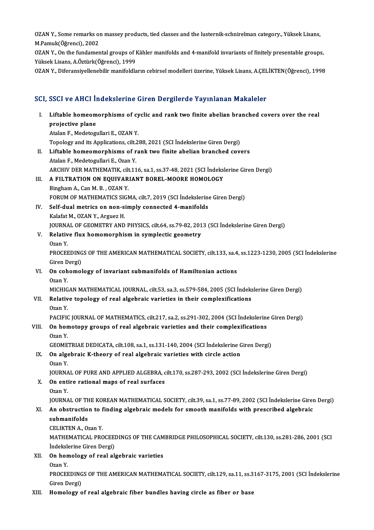OZAN Y., Some remarks on massey products, tied classes and the lusternik-schnirelman category., Yüksek Lisans,<br>M.Pamuk(Öğrengi), 2002 OZAN Y., Some remarks of<br>M.Pamuk(Öğrenci), 2002<br>OZAN Y. On the fundamer OZAN Y., Some remarks on massey products, tied classes and the lusternik-schnirelman category., Yüksek Lisans,<br>M.Pamuk(Öğrenci), 2002<br>OZAN Y., On the fundamental groups of Kähler manifolds and 4-manifold invariants of fini

M.Pamuk(Öğrenci), 2002<br>OZAN Y., On the fundamental groups of Kähler manifolds and 4-manifold invariants of finitely presentable groups,<br>Yüksek Lisans, A.Öztürk(Öğrenci), 1999

OZAN Y., Diferansiyellenebilir manifoldların cebirsel modelleri üzerine, Yüksek Lisans, A.ÇELİKTEN(Öğrenci), 1998

# ozan 1., Dieransiyenenebilir manlıoldıların cebirsel modelleri üzerine, Tüksek Lisans, A.Ç.E.<br>SCI, SSCI ve AHCI İndekslerine Giren Dergilerde Yayınlanan Makaleler

|       | SCI, SSCI ve AHCI İndekslerine Giren Dergilerde Yayınlanan Makaleler                                            |
|-------|-----------------------------------------------------------------------------------------------------------------|
| Ι.    | Liftable homeomorphisms of cyclic and rank two finite abelian branched covers over the real<br>projective plane |
|       | Atalan F., Medetogullari E., OZAN Y.                                                                            |
|       | Topology and its Applications, cilt.288, 2021 (SCI Indekslerine Giren Dergi)                                    |
| П.    | Liftable homeomorphisms of rank two finite abelian branched covers                                              |
|       | Atalan F, Medetogullari E, Ozan Y.                                                                              |
|       | ARCHIV DER MATHEMATIK, cilt.116, sa.1, ss.37-48, 2021 (SCI İndekslerine Giren Dergi)                            |
| III.  | A FILTRATION ON EQUIVARIANT BOREL-MOORE HOMOLOGY                                                                |
|       | Bingham A., Can M. B., OZAN Y.                                                                                  |
|       | FORUM OF MATHEMATICS SIGMA, cilt.7, 2019 (SCI İndekslerine Giren Dergi)                                         |
| IV.   | Self-dual metrics on non-simply connected 4-manifolds                                                           |
|       | Kalafat M., OZAN Y., Arguez H.                                                                                  |
|       | JOURNAL OF GEOMETRY AND PHYSICS, cilt.64, ss.79-82, 2013 (SCI Indekslerine Giren Dergi)                         |
| V.    | Relative flux homomorphism in symplectic geometry                                                               |
|       | Ozan Y                                                                                                          |
|       | PROCEEDINGS OF THE AMERICAN MATHEMATICAL SOCIETY, cilt.133, sa.4, ss.1223-1230, 2005 (SCI Indekslerine          |
|       | Giren Dergi)                                                                                                    |
| VI.   | On cohomology of invariant submanifolds of Hamiltonian actions                                                  |
|       | Ozan Y                                                                                                          |
|       | MICHIGAN MATHEMATICAL JOURNAL, cilt.53, sa.3, ss.579-584, 2005 (SCI İndekslerine Giren Dergi)                   |
| VII.  | Relative topology of real algebraic varieties in their complexifications                                        |
|       | Ozan Y.                                                                                                         |
|       | PACIFIC JOURNAL OF MATHEMATICS, cilt.217, sa.2, ss.291-302, 2004 (SCI Indekslerine Giren Dergi)                 |
| VIII. | On homotopy groups of real algebraic varieties and their complexifications<br>Ozan Y                            |
|       | GEOMETRIAE DEDICATA, cilt.108, sa.1, ss.131-140, 2004 (SCI İndekslerine Giren Dergi)                            |
| IX.   | On algebraic K-theory of real algebraic varieties with circle action                                            |
|       | Ozan Y.                                                                                                         |
|       | JOURNAL OF PURE AND APPLIED ALGEBRA, cilt.170, ss.287-293, 2002 (SCI İndekslerine Giren Dergi)                  |
| X.    | On entire rational maps of real surfaces                                                                        |
|       | Ozan Y.                                                                                                         |
|       | JOURNAL OF THE KOREAN MATHEMATICAL SOCIETY, cilt.39, sa.1, ss.77-89, 2002 (SCI İndekslerine Giren Dergi)        |
| XI.   | An obstruction to finding algebraic models for smooth manifolds with prescribed algebraic                       |
|       | submanifolds                                                                                                    |
|       | <b>CELIKTEN A, Ozan Y</b>                                                                                       |
|       | MATHEMATICAL PROCEEDINGS OF THE CAMBRIDGE PHILOSOPHICAL SOCIETY, cilt.130, ss.281-286, 2001 (SCI                |
|       | Indekslerine Giren Dergi)                                                                                       |
| XII.  | On homology of real algebraic varieties                                                                         |
|       | Ozan Y                                                                                                          |
|       | PROCEEDINGS OF THE AMERICAN MATHEMATICAL SOCIETY, cilt.129, sa.11, ss.3167-3175, 2001 (SCI Indekslerine         |
|       | Giren Dergi)                                                                                                    |
| XIII. | Homology of real algebraic fiber bundles having circle as fiber or base                                         |